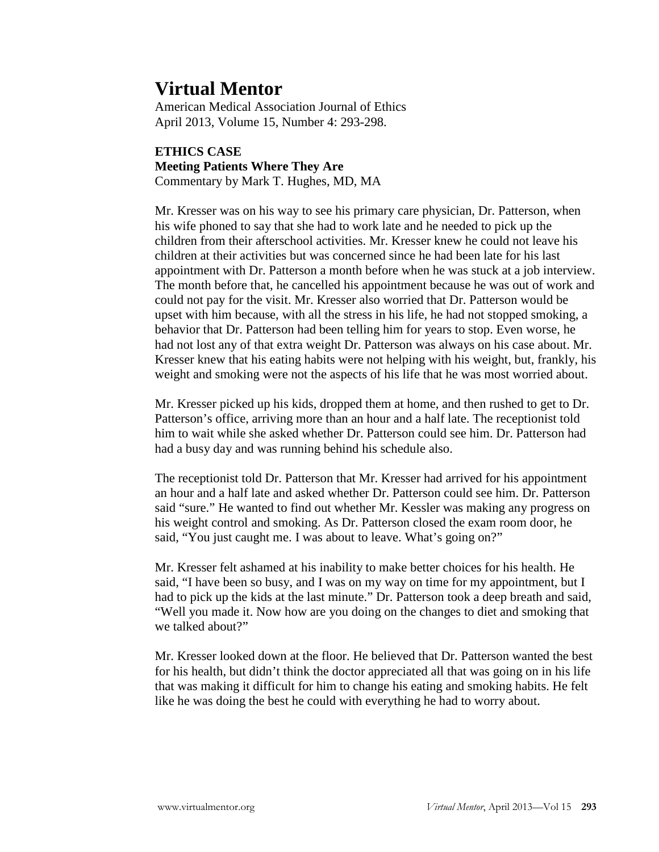# **Virtual Mentor**

American Medical Association Journal of Ethics April 2013, Volume 15, Number 4: 293-298.

# **ETHICS CASE Meeting Patients Where They Are** Commentary by Mark T. Hughes, MD, MA

Mr. Kresser was on his way to see his primary care physician, Dr. Patterson, when his wife phoned to say that she had to work late and he needed to pick up the children from their afterschool activities. Mr. Kresser knew he could not leave his children at their activities but was concerned since he had been late for his last appointment with Dr. Patterson a month before when he was stuck at a job interview. The month before that, he cancelled his appointment because he was out of work and could not pay for the visit. Mr. Kresser also worried that Dr. Patterson would be upset with him because, with all the stress in his life, he had not stopped smoking, a behavior that Dr. Patterson had been telling him for years to stop. Even worse, he had not lost any of that extra weight Dr. Patterson was always on his case about. Mr. Kresser knew that his eating habits were not helping with his weight, but, frankly, his weight and smoking were not the aspects of his life that he was most worried about.

Mr. Kresser picked up his kids, dropped them at home, and then rushed to get to Dr. Patterson's office, arriving more than an hour and a half late. The receptionist told him to wait while she asked whether Dr. Patterson could see him. Dr. Patterson had had a busy day and was running behind his schedule also.

The receptionist told Dr. Patterson that Mr. Kresser had arrived for his appointment an hour and a half late and asked whether Dr. Patterson could see him. Dr. Patterson said "sure." He wanted to find out whether Mr. Kessler was making any progress on his weight control and smoking. As Dr. Patterson closed the exam room door, he said, "You just caught me. I was about to leave. What's going on?"

Mr. Kresser felt ashamed at his inability to make better choices for his health. He said, "I have been so busy, and I was on my way on time for my appointment, but I had to pick up the kids at the last minute." Dr. Patterson took a deep breath and said, "Well you made it. Now how are you doing on the changes to diet and smoking that we talked about?"

Mr. Kresser looked down at the floor. He believed that Dr. Patterson wanted the best for his health, but didn't think the doctor appreciated all that was going on in his life that was making it difficult for him to change his eating and smoking habits. He felt like he was doing the best he could with everything he had to worry about.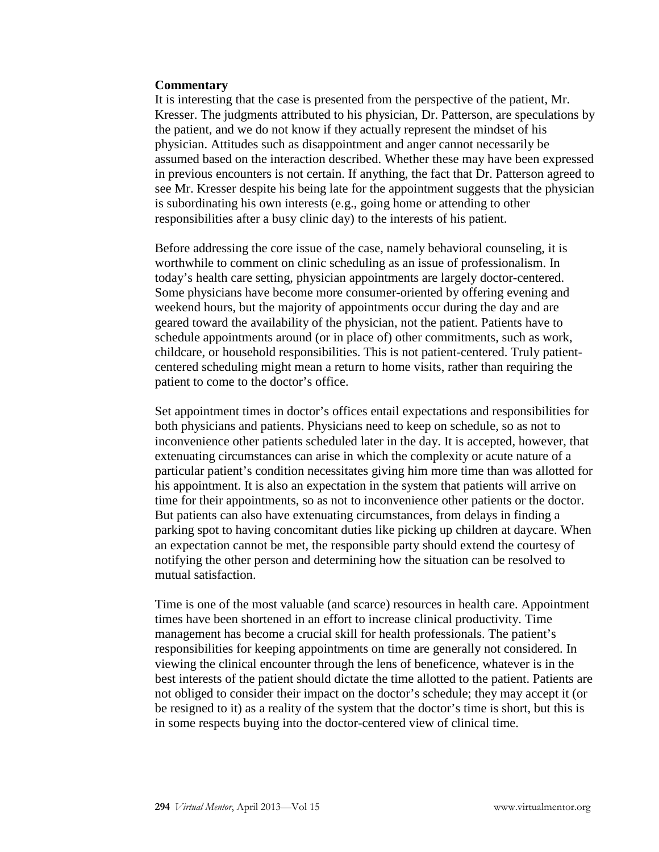#### **Commentary**

It is interesting that the case is presented from the perspective of the patient, Mr. Kresser. The judgments attributed to his physician, Dr. Patterson, are speculations by the patient, and we do not know if they actually represent the mindset of his physician. Attitudes such as disappointment and anger cannot necessarily be assumed based on the interaction described. Whether these may have been expressed in previous encounters is not certain. If anything, the fact that Dr. Patterson agreed to see Mr. Kresser despite his being late for the appointment suggests that the physician is subordinating his own interests (e.g., going home or attending to other responsibilities after a busy clinic day) to the interests of his patient.

Before addressing the core issue of the case, namely behavioral counseling, it is worthwhile to comment on clinic scheduling as an issue of professionalism. In today's health care setting, physician appointments are largely doctor-centered. Some physicians have become more consumer-oriented by offering evening and weekend hours, but the majority of appointments occur during the day and are geared toward the availability of the physician, not the patient. Patients have to schedule appointments around (or in place of) other commitments, such as work, childcare, or household responsibilities. This is not patient-centered. Truly patientcentered scheduling might mean a return to home visits, rather than requiring the patient to come to the doctor's office.

Set appointment times in doctor's offices entail expectations and responsibilities for both physicians and patients. Physicians need to keep on schedule, so as not to inconvenience other patients scheduled later in the day. It is accepted, however, that extenuating circumstances can arise in which the complexity or acute nature of a particular patient's condition necessitates giving him more time than was allotted for his appointment. It is also an expectation in the system that patients will arrive on time for their appointments, so as not to inconvenience other patients or the doctor. But patients can also have extenuating circumstances, from delays in finding a parking spot to having concomitant duties like picking up children at daycare. When an expectation cannot be met, the responsible party should extend the courtesy of notifying the other person and determining how the situation can be resolved to mutual satisfaction.

Time is one of the most valuable (and scarce) resources in health care. Appointment times have been shortened in an effort to increase clinical productivity. Time management has become a crucial skill for health professionals. The patient's responsibilities for keeping appointments on time are generally not considered. In viewing the clinical encounter through the lens of beneficence, whatever is in the best interests of the patient should dictate the time allotted to the patient. Patients are not obliged to consider their impact on the doctor's schedule; they may accept it (or be resigned to it) as a reality of the system that the doctor's time is short, but this is in some respects buying into the doctor-centered view of clinical time.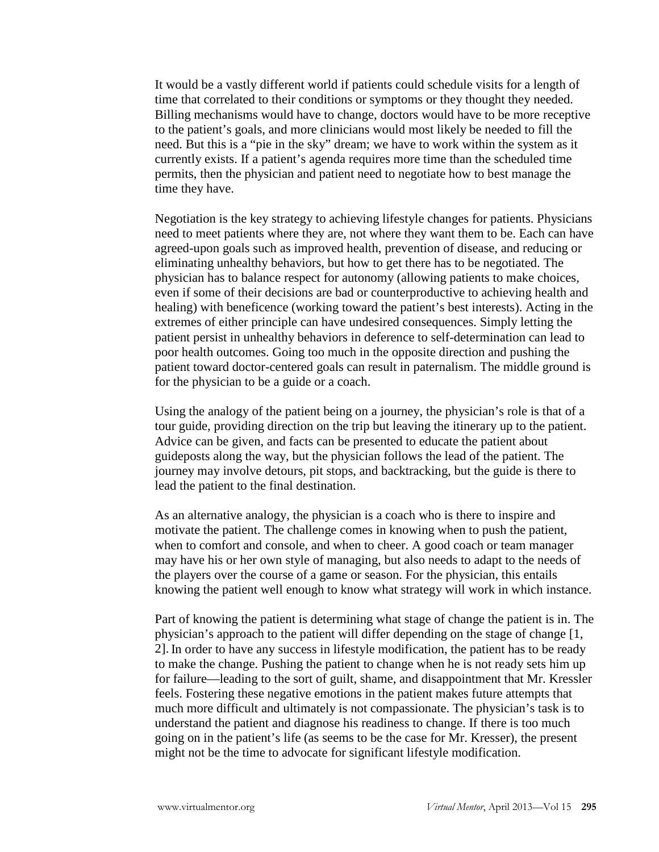It would be a vastly different world if patients could schedule visits for a length of time that correlated to their conditions or symptoms or they thought they needed. Billing mechanisms would have to change, doctors would have to be more receptive to the patient's goals, and more clinicians would most likely be needed to fill the need. But this is a "pie in the sky" dream; we have to work within the system as it currently exists. If a patient's agenda requires more time than the scheduled time permits, then the physician and patient need to negotiate how to best manage the time they have.

Negotiation is the key strategy to achieving lifestyle changes for patients. Physicians need to meet patients where they are, not where they want them to be. Each can have agreed-upon goals such as improved health, prevention of disease, and reducing or eliminating unhealthy behaviors, but how to get there has to be negotiated. The physician has to balance respect for autonomy (allowing patients to make choices, even if some of their decisions are bad or counterproductive to achieving health and healing) with beneficence (working toward the patient's best interests). Acting in the extremes of either principle can have undesired consequences. Simply letting the patient persist in unhealthy behaviors in deference to self-determination can lead to poor health outcomes. Going too much in the opposite direction and pushing the patient toward doctor-centered goals can result in paternalism. The middle ground is for the physician to be a guide or a coach.

Using the analogy of the patient being on a journey, the physician's role is that of a tour guide, providing direction on the trip but leaving the itinerary up to the patient. Advice can be given, and facts can be presented to educate the patient about guideposts along the way, but the physician follows the lead of the patient. The journey may involve detours, pit stops, and backtracking, but the guide is there to lead the patient to the final destination.

As an alternative analogy, the physician is a coach who is there to inspire and motivate the patient. The challenge comes in knowing when to push the patient, when to comfort and console, and when to cheer. A good coach or team manager may have his or her own style of managing, but also needs to adapt to the needs of the players over the course of a game or season. For the physician, this entails knowing the patient well enough to know what strategy will work in which instance.

Part of knowing the patient is determining what stage of change the patient is in. The physician's approach to the patient will differ depending on the stage of change [1, 2]. In order to have any success in lifestyle modification, the patient has to be ready to make the change. Pushing the patient to change when he is not ready sets him up for failure—leading to the sort of guilt, shame, and disappointment that Mr. Kressler feels. Fostering these negative emotions in the patient makes future attempts that much more difficult and ultimately is not compassionate. The physician's task is to understand the patient and diagnose his readiness to change. If there is too much going on in the patient's life (as seems to be the case for Mr. Kresser), the present might not be the time to advocate for significant lifestyle modification.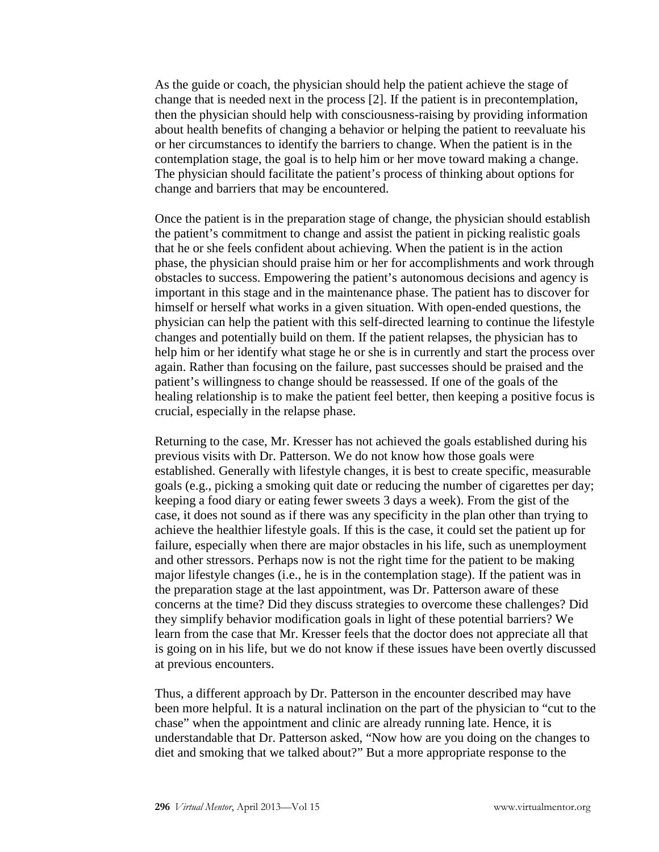As the guide or coach, the physician should help the patient achieve the stage of change that is needed next in the process [2]. If the patient is in precontemplation, then the physician should help with consciousness-raising by providing information about health benefits of changing a behavior or helping the patient to reevaluate his or her circumstances to identify the barriers to change. When the patient is in the contemplation stage, the goal is to help him or her move toward making a change. The physician should facilitate the patient's process of thinking about options for change and barriers that may be encountered.

Once the patient is in the preparation stage of change, the physician should establish the patient's commitment to change and assist the patient in picking realistic goals that he or she feels confident about achieving. When the patient is in the action phase, the physician should praise him or her for accomplishments and work through obstacles to success. Empowering the patient's autonomous decisions and agency is important in this stage and in the maintenance phase. The patient has to discover for himself or herself what works in a given situation. With open-ended questions, the physician can help the patient with this self-directed learning to continue the lifestyle changes and potentially build on them. If the patient relapses, the physician has to help him or her identify what stage he or she is in currently and start the process over again. Rather than focusing on the failure, past successes should be praised and the patient's willingness to change should be reassessed. If one of the goals of the healing relationship is to make the patient feel better, then keeping a positive focus is crucial, especially in the relapse phase.

Returning to the case, Mr. Kresser has not achieved the goals established during his previous visits with Dr. Patterson. We do not know how those goals were established. Generally with lifestyle changes, it is best to create specific, measurable goals (e.g., picking a smoking quit date or reducing the number of cigarettes per day; keeping a food diary or eating fewer sweets 3 days a week). From the gist of the case, it does not sound as if there was any specificity in the plan other than trying to achieve the healthier lifestyle goals. If this is the case, it could set the patient up for failure, especially when there are major obstacles in his life, such as unemployment and other stressors. Perhaps now is not the right time for the patient to be making major lifestyle changes (i.e., he is in the contemplation stage). If the patient was in the preparation stage at the last appointment, was Dr. Patterson aware of these concerns at the time? Did they discuss strategies to overcome these challenges? Did they simplify behavior modification goals in light of these potential barriers? We learn from the case that Mr. Kresser feels that the doctor does not appreciate all that is going on in his life, but we do not know if these issues have been overtly discussed at previous encounters.

Thus, a different approach by Dr. Patterson in the encounter described may have been more helpful. It is a natural inclination on the part of the physician to "cut to the chase" when the appointment and clinic are already running late. Hence, it is understandable that Dr. Patterson asked, "Now how are you doing on the changes to diet and smoking that we talked about?" But a more appropriate response to the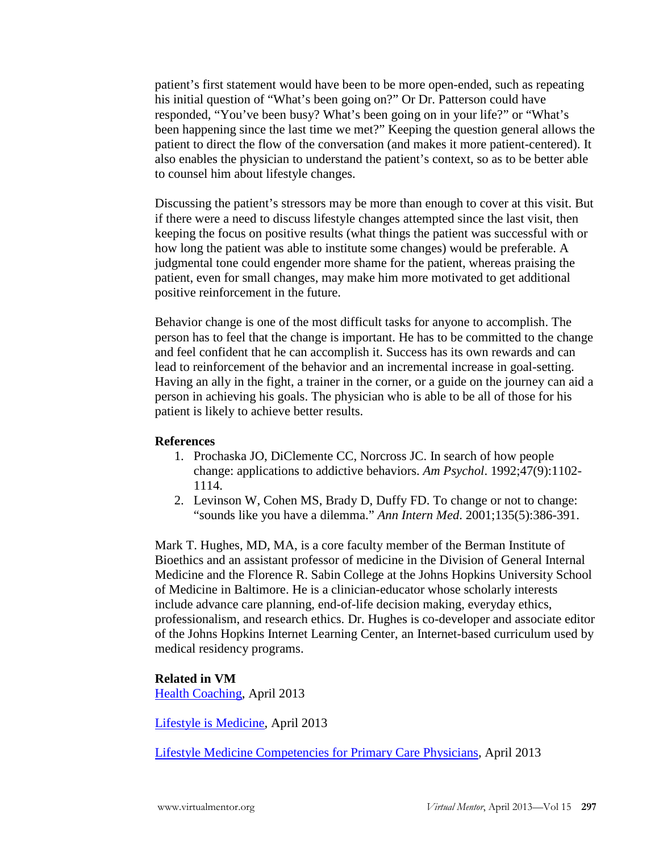patient's first statement would have been to be more open-ended, such as repeating his initial question of "What's been going on?" Or Dr. Patterson could have responded, "You've been busy? What's been going on in your life?" or "What's been happening since the last time we met?" Keeping the question general allows the patient to direct the flow of the conversation (and makes it more patient-centered). It also enables the physician to understand the patient's context, so as to be better able to counsel him about lifestyle changes.

Discussing the patient's stressors may be more than enough to cover at this visit. But if there were a need to discuss lifestyle changes attempted since the last visit, then keeping the focus on positive results (what things the patient was successful with or how long the patient was able to institute some changes) would be preferable. A judgmental tone could engender more shame for the patient, whereas praising the patient, even for small changes, may make him more motivated to get additional positive reinforcement in the future.

Behavior change is one of the most difficult tasks for anyone to accomplish. The person has to feel that the change is important. He has to be committed to the change and feel confident that he can accomplish it. Success has its own rewards and can lead to reinforcement of the behavior and an incremental increase in goal-setting. Having an ally in the fight, a trainer in the corner, or a guide on the journey can aid a person in achieving his goals. The physician who is able to be all of those for his patient is likely to achieve better results.

## **References**

- 1. Prochaska JO, DiClemente CC, Norcross JC. In search of how people change: applications to addictive behaviors. *Am Psychol*. 1992;47(9):1102- 1114.
- 2. Levinson W, Cohen MS, Brady D, Duffy FD. To change or not to change: "sounds like you have a dilemma." *Ann Intern Med*. 2001;135(5):386-391.

Mark T. Hughes, MD, MA, is a core faculty member of the Berman Institute of Bioethics and an assistant professor of medicine in the Division of General Internal Medicine and the Florence R. Sabin College at the Johns Hopkins University School of Medicine in Baltimore. He is a clinician-educator whose scholarly interests include advance care planning, end-of-life decision making, everyday ethics, professionalism, and research ethics. Dr. Hughes is co-developer and associate editor of the Johns Hopkins Internet Learning Center, an Internet-based curriculum used by medical residency programs.

## **Related in VM**

[Health Coaching,](http://virtualmentor.ama-assn.org/2013/04/stas2-1304.html) April 2013

[Lifestyle is Medicine,](http://virtualmentor.ama-assn.org/2013/04/ecas1-1304.html) April 2013

[Lifestyle Medicine Competencies for Primary Care Physicians,](http://virtualmentor.ama-assn.org/2013/04/medu1-1304.html) April 2013